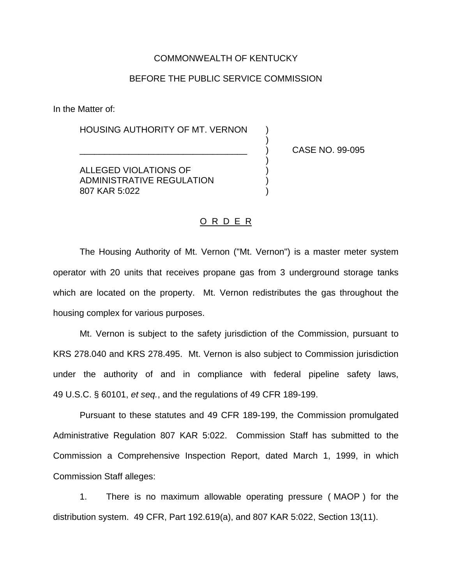## COMMONWEALTH OF KENTUCKY

## BEFORE THE PUBLIC SERVICE COMMISSION

)

)

In the Matter of:

HOUSING AUTHORITY OF MT. VERNON )

\_\_\_\_\_\_\_\_\_\_\_\_\_\_\_\_\_\_\_\_\_\_\_\_\_\_\_\_\_\_\_\_\_\_ ) CASE NO. 99-095

ALLEGED VIOLATIONS OF ) ADMINISTRATIVE REGULATION ) 807 KAR 5:022 )

## O R D E R

The Housing Authority of Mt. Vernon ("Mt. Vernon") is a master meter system operator with 20 units that receives propane gas from 3 underground storage tanks which are located on the property. Mt. Vernon redistributes the gas throughout the housing complex for various purposes.

Mt. Vernon is subject to the safety jurisdiction of the Commission, pursuant to KRS 278.040 and KRS 278.495. Mt. Vernon is also subject to Commission jurisdiction under the authority of and in compliance with federal pipeline safety laws, 49 U.S.C. § 60101, *et seq.*, and the regulations of 49 CFR 189-199.

Pursuant to these statutes and 49 CFR 189-199, the Commission promulgated Administrative Regulation 807 KAR 5:022. Commission Staff has submitted to the Commission a Comprehensive Inspection Report, dated March 1, 1999, in which Commission Staff alleges:

1. There is no maximum allowable operating pressure ( MAOP ) for the distribution system. 49 CFR, Part 192.619(a), and 807 KAR 5:022, Section 13(11).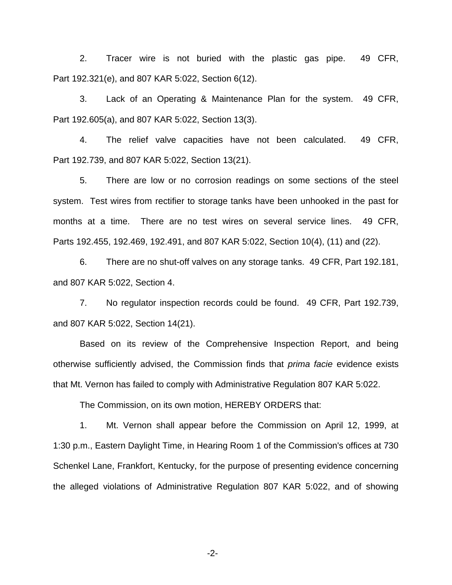2. Tracer wire is not buried with the plastic gas pipe. 49 CFR, Part 192.321(e), and 807 KAR 5:022, Section 6(12).

3. Lack of an Operating & Maintenance Plan for the system. 49 CFR, Part 192.605(a), and 807 KAR 5:022, Section 13(3).

4. The relief valve capacities have not been calculated. 49 CFR, Part 192.739, and 807 KAR 5:022, Section 13(21).

5. There are low or no corrosion readings on some sections of the steel system. Test wires from rectifier to storage tanks have been unhooked in the past for months at a time. There are no test wires on several service lines. 49 CFR, Parts 192.455, 192.469, 192.491, and 807 KAR 5:022, Section 10(4), (11) and (22).

6. There are no shut-off valves on any storage tanks. 49 CFR, Part 192.181, and 807 KAR 5:022, Section 4.

7. No regulator inspection records could be found. 49 CFR, Part 192.739, and 807 KAR 5:022, Section 14(21).

Based on its review of the Comprehensive Inspection Report, and being otherwise sufficiently advised, the Commission finds that *prima facie* evidence exists that Mt. Vernon has failed to comply with Administrative Regulation 807 KAR 5:022.

The Commission, on its own motion, HEREBY ORDERS that:

1. Mt. Vernon shall appear before the Commission on April 12, 1999, at 1:30 p.m., Eastern Daylight Time, in Hearing Room 1 of the Commission's offices at 730 Schenkel Lane, Frankfort, Kentucky, for the purpose of presenting evidence concerning the alleged violations of Administrative Regulation 807 KAR 5:022, and of showing

-2-